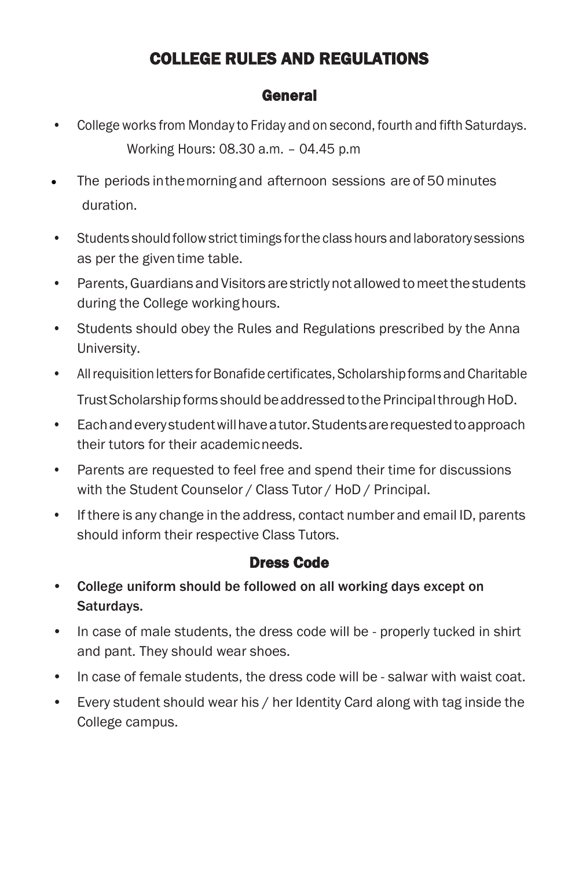# COLLEGE RULES AND REGULATIONS

#### General

- College works from Monday to Friday and on second, fourth and fifth Saturdays. Working Hours: 08.30 a.m. – 04.45 p.m
- The periods in the morning and afternoon sessions are of 50 minutes duration.
- Students should followstrict timings forthe class hours and laboratory sessions as per the given time table.
- Parents, Guardians and Visitors are strictly not allowed to meet the students during the College working hours.
- Students should obey the Rules and Regulations prescribed by the Anna University.
- All requisition letters for Bonafide certificates, Scholarship forms and Charitable Trust Scholarship forms should be addressed to the Principal through HoD.
- Eachandeverystudentwillhaveatutor.Studentsarerequestedtoapproach their tutors for their academicneeds.
- Parents are requested to feel free and spend their time for discussions with the Student Counselor / Class Tutor / HoD / Principal.
- If there is any change in the address, contact number and email ID, parents should inform their respective Class Tutors.

## Dress Code

- College uniform should be followed on all working days except on Saturdays.
- In case of male students, the dress code will be properly tucked in shirt and pant. They should wear shoes.
- In case of female students, the dress code will be salwar with waist coat.
- Every student should wear his / her Identity Card along with tag inside the College campus.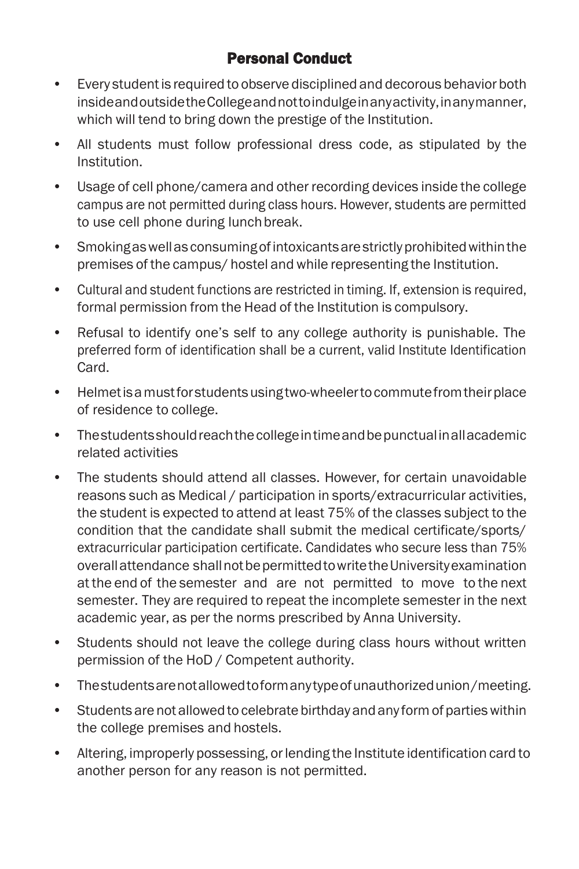## Personal Conduct

- Every studentis required to observe disciplined and decorous behavior both insideandoutsidetheCollegeandnottoindulgeinanyactivity,inanymanner, which will tend to bring down the prestige of the Institution.
- All students must follow professional dress code, as stipulated by the Institution.
- Usage of cell phone/camera and other recording devices inside the college campus are not permitted during class hours. However, students are permitted to use cell phone during lunchbreak.
- Smokingaswellas consumingofintoxicantsarestrictlyprohibitedwithinthe premises of the campus/ hostel and while representing the Institution.
- Cultural and student functions are restricted in timing. If, extension is required, formal permission from the Head of the Institution is compulsory.
- Refusal to identify one's self to any college authority is punishable. The preferred form of identification shall be a current, valid Institute Identification **Card**
- Helmetisamustforstudentsusingtwo-wheelertocommutefromtheirplace of residence to college.
- Thestudentsshouldreachthecollegeintimeandbepunctualinallacademic related activities
- The students should attend all classes. However, for certain unavoidable reasons such as Medical / participation in sports/extracurricular activities, the student is expected to attend at least 75% of the classes subject to the condition that the candidate shall submit the medical certificate/sports/ extracurricular participation certificate. Candidates who secure less than 75% overallattendance shallnotbepermittedtowritetheUniversityexamination at the end of the semester and are not permitted to move to the next semester. They are required to repeat the incomplete semester in the next academic year, as per the norms prescribed by Anna University.
- Students should not leave the college during class hours without written permission of the HoD / Competent authority.
- Thestudentsarenotallowedtoformanytypeofunauthorizedunion/meeting.
- Students are not allowed to celebrate birthday and any form of parties within the college premises and hostels.
- Altering, improperly possessing, orlending the Institute identification card to another person for any reason is not permitted.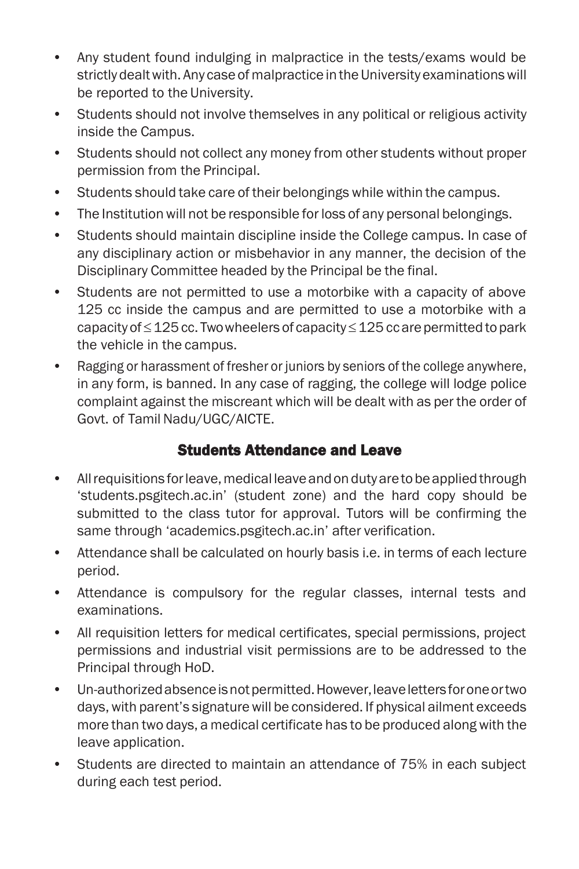- Any student found indulging in malpractice in the tests/exams would be strictly dealt with. Any case of malpractice in the University examinations will be reported to the University.
- Students should not involve themselves in any political or religious activity inside the Campus.
- Students should not collect any money from other students without proper permission from the Principal.
- Students should take care of their belongings while within the campus.
- The Institution will not be responsible for loss of any personal belongings.
- Students should maintain discipline inside the College campus. In case of any disciplinary action or misbehavior in any manner, the decision of the Disciplinary Committee headed by the Principal be the final.
- Students are not permitted to use a motorbike with a capacity of above 125 cc inside the campus and are permitted to use a motorbike with a capacity of  $\leq$  125 cc. Two wheelers of capacity  $\leq$  125 cc are permitted to park the vehicle in the campus.
- Ragging or harassment of fresher or juniors by seniors of the college anywhere, in any form, is banned. In any case of ragging, the college will lodge police complaint against the miscreant which will be dealt with as per the order of Govt. of Tamil Nadu/UGC/AICTE.

## Students Attendance and Leave

- All requisitions for leave, medical leave and on duty are to be applied through 'students.psgitech.ac.in' (student zone) and the hard copy should be submitted to the class tutor for approval. Tutors will be confirming the same through 'academics.psgitech.ac.in' after verification.
- Attendance shall be calculated on hourly basis i.e. in terms of each lecture period.
- Attendance is compulsory for the regular classes, internal tests and examinations.
- All requisition letters for medical certificates, special permissions, project permissions and industrial visit permissions are to be addressed to the Principal through HoD.
- Un-authorized absence is not permitted. However, leave letters for one or two days, with parent's signature will be considered. If physical ailment exceeds more than two days, a medical certificate has to be produced along with the leave application.
- Students are directed to maintain an attendance of 75% in each subject during each test period.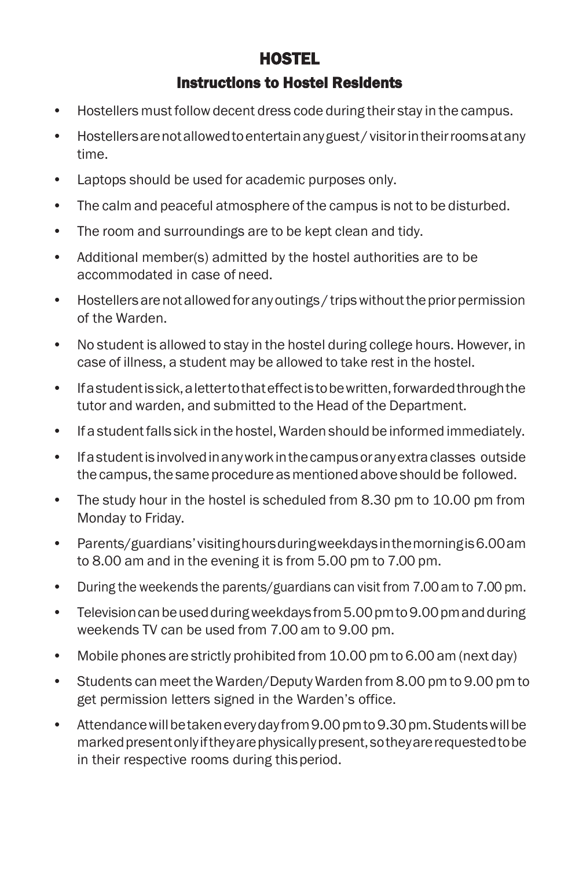# HOSTEL Instructions to Hostel Residents

- Hostellers must follow decent dress code during their stay in the campus.
- Hostellersarenotallowedtoentertainanyguest/ visitorintheirroomsatany time.
- Laptops should be used for academic purposes only.
- The calm and peaceful atmosphere of the campus is not to be disturbed.
- The room and surroundings are to be kept clean and tidy.
- Additional member(s) admitted by the hostel authorities are to be accommodated in case of need.
- Hostellers are not allowed for any outings / trips without the prior permission of the Warden.
- No student is allowed to stay in the hostel during college hours. However, in case of illness, a student may be allowed to take rest in the hostel.
- Ifastudentissick,alettertothateffectistobewritten,forwardedthroughthe tutor and warden, and submitted to the Head of the Department.
- If a studentfalls sick inthe hostel, Warden should be informed immediately.
- Ifastudentis involvedinanyworkinthecampusoranyextraclasses outside the campus, the same procedure as mentioned above should be followed.
- The study hour in the hostel is scheduled from 8.30 pm to 10.00 pm from Monday to Friday.
- Parents/guardians'visitinghoursduringweekdaysinthemorningis6.00am to 8.00 am and in the evening it is from 5.00 pm to 7.00 pm.
- During the weekends the parents/guardians can visit from 7.00am to 7.00 pm.
- Television can be used during weekdays from 5.00 pm to 9.00 pm and during weekends TV can be used from 7.00 am to 9.00 pm.
- Mobile phones are strictly prohibited from 10.00 pm to 6.00 am (next day)
- Students can meet the Warden/Deputy Warden from 8.00 pm to 9.00 pm to get permission letters signed in the Warden's office.
- Attendance will be taken every day from 9.00 pm to 9.30 pm. Students will be marked present only if they are physically present, so they are requested to be in their respective rooms during thisperiod.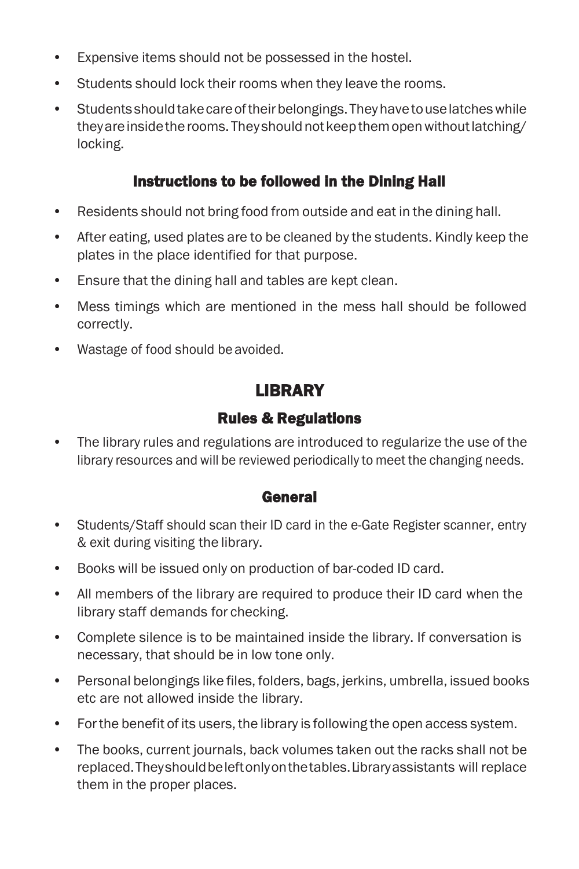- Expensive items should not be possessed in the hostel.
- Students should lock their rooms when they leave the rooms.
- Students should take care of their belongings. They have to use latches while theyare inside the rooms. They should not keep them open without latching/ locking.

## Instructions to be followed in the Dining Hall

- Residents should not bring food from outside and eat in the dining hall.
- After eating, used plates are to be cleaned by the students. Kindly keep the plates in the place identified for that purpose.
- Ensure that the dining hall and tables are kept clean.
- Mess timings which are mentioned in the mess hall should be followed correctly.
- Wastage of food should be avoided.

# LIBRARY

## Rules & Regulations

• The library rules and regulations are introduced to regularize the use of the library resources and will be reviewed periodically to meet the changing needs.

### General

- Students/Staff should scan their ID card in the e-Gate Register scanner, entry & exit during visiting the library.
- Books will be issued only on production of bar-coded ID card.
- All members of the library are required to produce their ID card when the library staff demands for checking.
- Complete silence is to be maintained inside the library. If conversation is necessary, that should be in low tone only.
- Personal belongings like files, folders, bags, jerkins, umbrella, issued books etc are not allowed inside the library.
- Forthe benefit of its users, the library is following the open access system.
- The books, current journals, back volumes taken out the racks shall not be replaced.Theyshouldbeleftonlyonthetables.Libraryassistants will replace them in the proper places.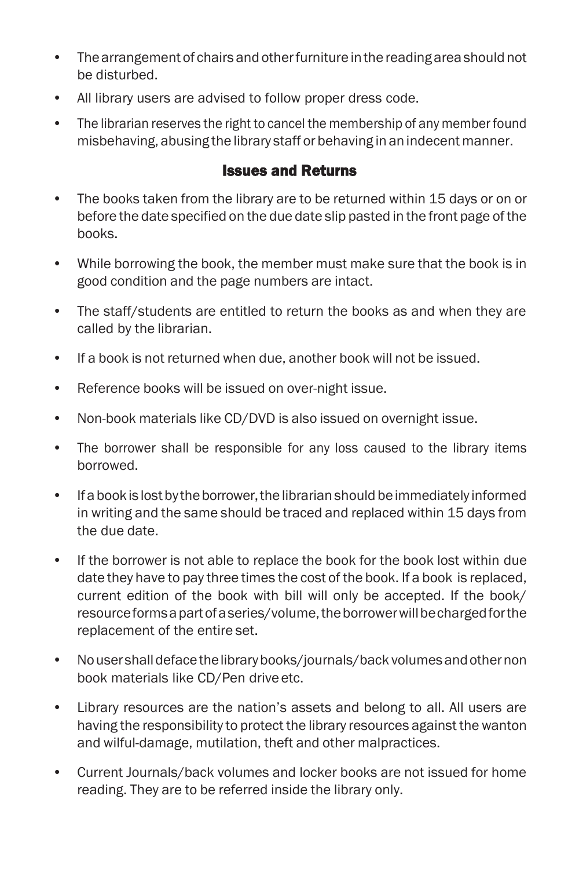- Thearrangement of chairs and otherfurniture inthe reading areashould not be disturbed.
- All library users are advised to follow proper dress code.
- The librarian reserves the right to cancel the membership of any memberfound misbehaving, abusing the library staff or behaving in anindecent manner.

### Issues and Returns

- The books taken from the library are to be returned within 15 days or on or before the date specified on the due date slip pasted in the front page of the books.
- While borrowing the book, the member must make sure that the book is in good condition and the page numbers are intact.
- The staff/students are entitled to return the books as and when they are called by the librarian.
- If a book is not returned when due, another book will not be issued.
- Reference books will be issued on over-night issue.
- Non-book materials like CD/DVD is also issued on overnight issue.
- The borrower shall be responsible for any loss caused to the library items borrowed.
- If a book is lost by the borrower, the librarian should be immediately informed in writing and the same should be traced and replaced within 15 days from the due date.
- If the borrower is not able to replace the book for the book lost within due date they have to pay three times the cost of the book. If a book is replaced, current edition of the book with bill will only be accepted. If the book/ resourceformsapartofaseries/volume,theborrowerwillbechargedforthe replacement of the entire set.
- Nousershalldefacethelibrarybooks/journals/back volumesandothernon book materials like CD/Pen drive etc.
- Library resources are the nation's assets and belong to all. All users are having the responsibility to protect the library resources against the wanton and wilful-damage, mutilation, theft and other malpractices.
- Current Journals/back volumes and locker books are not issued for home reading. They are to be referred inside the library only.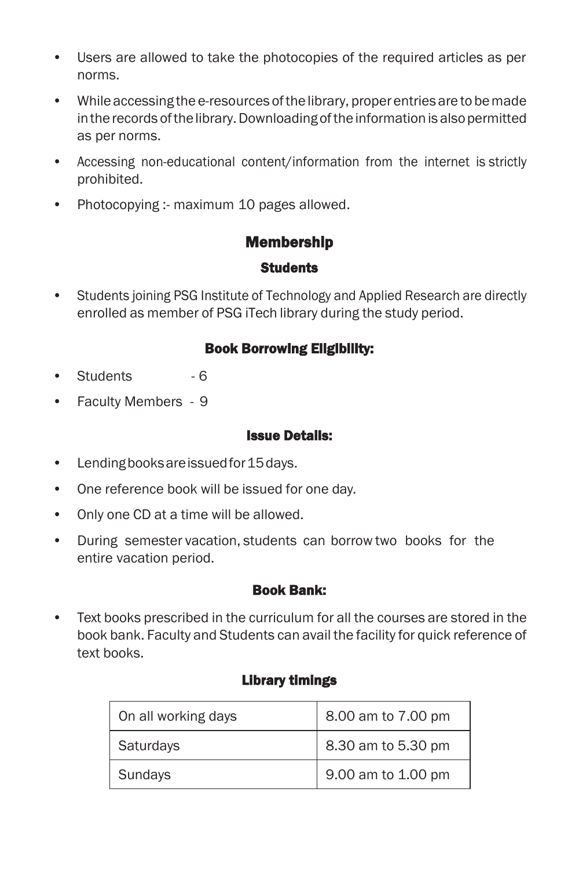- Users are allowed to take the photocopies of the required articles as per norms.
- While accessing the e-resources of the library, proper entries are to be made in the records of the library. Downloading of the information is also permitted as per norms.
- Accessing non-educational content/information from the internet is strictly prohibited.
- Photocopying :- maximum 10 pages allowed.

## Membership

#### **Students**

• Students joining PSG Institute of Technology and Applied Research are directly enrolled as member of PSG iTech library during the study period.

### Book Borrowing Eligibility:

- Students 6
- Faculty Members 9

#### Issue Details:

- Lendingbooksareissuedfor15days.
- One reference book will be issued for one day.
- Only one CD at a time will be allowed.
- During semester vacation, students can borrow two books for the entire vacation period.

#### Book Bank:

• Text books prescribed in the curriculum for all the courses are stored in the book bank. Faculty and Students can avail the facility for quick reference of text books.

### Library timings

| On all working days | 8.00 am to 7.00 pm |
|---------------------|--------------------|
| <b>Saturdays</b>    | 8.30 am to 5.30 pm |
| <b>Sundays</b>      | 9.00 am to 1.00 pm |